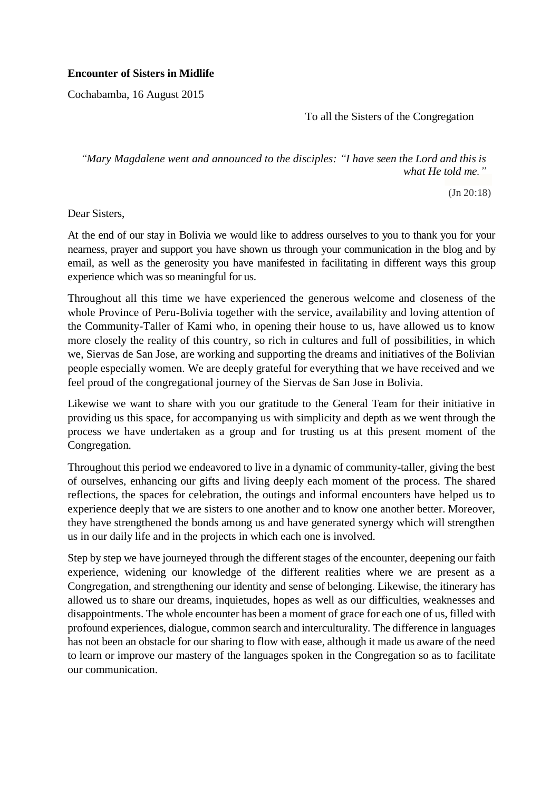## **Encounter of Sisters in Midlife**

Cochabamba, 16 August 2015

To all the Sisters of the Congregation

*"Mary Magdalene went and announced to the disciples: "I have seen the Lord and this is what He told me."*

(Jn 20:18)

Dear Sisters,

At the end of our stay in Bolivia we would like to address ourselves to you to thank you for your nearness, prayer and support you have shown us through your communication in the blog and by email, as well as the generosity you have manifested in facilitating in different ways this group experience which was so meaningful for us.

Throughout all this time we have experienced the generous welcome and closeness of the whole Province of Peru-Bolivia together with the service, availability and loving attention of the Community-Taller of Kami who, in opening their house to us, have allowed us to know more closely the reality of this country, so rich in cultures and full of possibilities, in which we, Siervas de San Jose, are working and supporting the dreams and initiatives of the Bolivian people especially women. We are deeply grateful for everything that we have received and we feel proud of the congregational journey of the Siervas de San Jose in Bolivia.

Likewise we want to share with you our gratitude to the General Team for their initiative in providing us this space, for accompanying us with simplicity and depth as we went through the process we have undertaken as a group and for trusting us at this present moment of the Congregation.

Throughout this period we endeavored to live in a dynamic of community-taller, giving the best of ourselves, enhancing our gifts and living deeply each moment of the process. The shared reflections, the spaces for celebration, the outings and informal encounters have helped us to experience deeply that we are sisters to one another and to know one another better. Moreover, they have strengthened the bonds among us and have generated synergy which will strengthen us in our daily life and in the projects in which each one is involved.

Step by step we have journeyed through the different stages of the encounter, deepening our faith experience, widening our knowledge of the different realities where we are present as a Congregation, and strengthening our identity and sense of belonging. Likewise, the itinerary has allowed us to share our dreams, inquietudes, hopes as well as our difficulties, weaknesses and disappointments. The whole encounter has been a moment of grace for each one of us, filled with profound experiences, dialogue, common search and interculturality. The difference in languages has not been an obstacle for our sharing to flow with ease, although it made us aware of the need to learn or improve our mastery of the languages spoken in the Congregation so as to facilitate our communication.